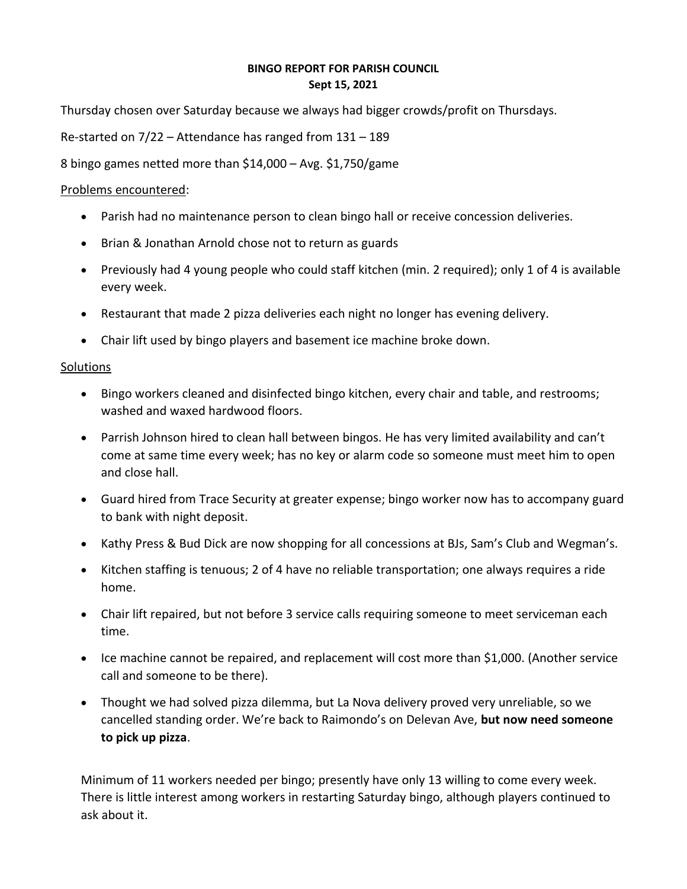## **BINGO REPORT FOR PARISH COUNCIL Sept 15, 2021**

Thursday chosen over Saturday because we always had bigger crowds/profit on Thursdays.

Re-started on 7/22 – Attendance has ranged from 131 – 189

8 bingo games netted more than \$14,000 – Avg. \$1,750/game

## Problems encountered:

- Parish had no maintenance person to clean bingo hall or receive concession deliveries.
- Brian & Jonathan Arnold chose not to return as guards
- Previously had 4 young people who could staff kitchen (min. 2 required); only 1 of 4 is available every week.
- Restaurant that made 2 pizza deliveries each night no longer has evening delivery.
- Chair lift used by bingo players and basement ice machine broke down.

## **Solutions**

- Bingo workers cleaned and disinfected bingo kitchen, every chair and table, and restrooms; washed and waxed hardwood floors.
- Parrish Johnson hired to clean hall between bingos. He has very limited availability and can't come at same time every week; has no key or alarm code so someone must meet him to open and close hall.
- Guard hired from Trace Security at greater expense; bingo worker now has to accompany guard to bank with night deposit.
- Kathy Press & Bud Dick are now shopping for all concessions at BJs, Sam's Club and Wegman's.
- Kitchen staffing is tenuous; 2 of 4 have no reliable transportation; one always requires a ride home.
- Chair lift repaired, but not before 3 service calls requiring someone to meet serviceman each time.
- Ice machine cannot be repaired, and replacement will cost more than \$1,000. (Another service call and someone to be there).
- Thought we had solved pizza dilemma, but La Nova delivery proved very unreliable, so we cancelled standing order. We're back to Raimondo's on Delevan Ave, **but now need someone to pick up pizza**.

Minimum of 11 workers needed per bingo; presently have only 13 willing to come every week. There is little interest among workers in restarting Saturday bingo, although players continued to ask about it.